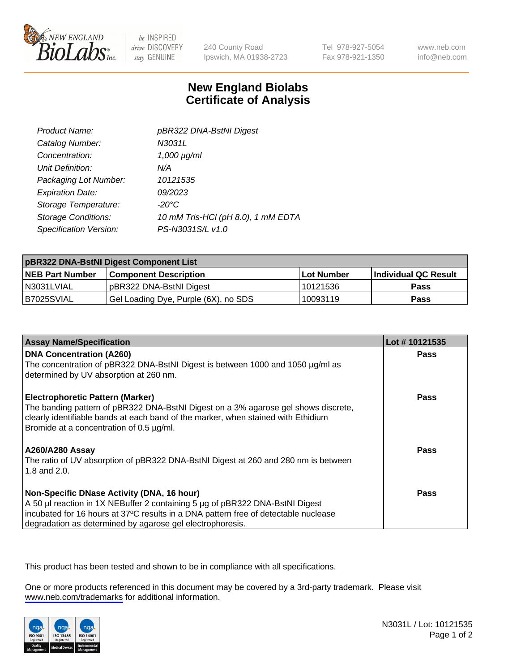

be INSPIRED drive DISCOVERY stay GENUINE

240 County Road Ipswich, MA 01938-2723 Tel 978-927-5054 Fax 978-921-1350

www.neb.com info@neb.com

## **New England Biolabs Certificate of Analysis**

| Product Name:              | pBR322 DNA-BstNI Digest            |
|----------------------------|------------------------------------|
| Catalog Number:            | N3031L                             |
| Concentration:             | $1,000 \mu g/ml$                   |
| Unit Definition:           | N/A                                |
| Packaging Lot Number:      | 10121535                           |
| <b>Expiration Date:</b>    | 09/2023                            |
| Storage Temperature:       | $-20^{\circ}$ C                    |
| <b>Storage Conditions:</b> | 10 mM Tris-HCl (pH 8.0), 1 mM EDTA |
| Specification Version:     | PS-N3031S/L v1.0                   |

| pBR322 DNA-BstNI Digest Component List |                                      |                   |                      |  |
|----------------------------------------|--------------------------------------|-------------------|----------------------|--|
| <b>NEB Part Number</b>                 | <b>Component Description</b>         | <b>Lot Number</b> | Individual QC Result |  |
| IN3031LVIAL                            | pBR322 DNA-BstNI Digest              | 10121536          | Pass                 |  |
| I B7025SVIAL                           | Gel Loading Dye, Purple (6X), no SDS | 10093119          | <b>Pass</b>          |  |

| <b>Assay Name/Specification</b>                                                                                                                                         | Lot #10121535 |
|-------------------------------------------------------------------------------------------------------------------------------------------------------------------------|---------------|
| <b>DNA Concentration (A260)</b><br>The concentration of pBR322 DNA-BstNI Digest is between 1000 and 1050 µg/ml as                                                       | <b>Pass</b>   |
| determined by UV absorption at 260 nm.                                                                                                                                  |               |
| <b>Electrophoretic Pattern (Marker)</b>                                                                                                                                 | Pass          |
| The banding pattern of pBR322 DNA-BstNI Digest on a 3% agarose gel shows discrete,<br>clearly identifiable bands at each band of the marker, when stained with Ethidium |               |
| Bromide at a concentration of 0.5 µg/ml.                                                                                                                                |               |
| A260/A280 Assay                                                                                                                                                         | <b>Pass</b>   |
| The ratio of UV absorption of pBR322 DNA-BstNI Digest at 260 and 280 nm is between                                                                                      |               |
| 1.8 and 2.0.                                                                                                                                                            |               |
| Non-Specific DNase Activity (DNA, 16 hour)                                                                                                                              | Pass          |
| A 50 µl reaction in 1X NEBuffer 2 containing 5 µg of pBR322 DNA-BstNI Digest                                                                                            |               |
| incubated for 16 hours at 37°C results in a DNA pattern free of detectable nuclease                                                                                     |               |
| degradation as determined by agarose gel electrophoresis.                                                                                                               |               |

This product has been tested and shown to be in compliance with all specifications.

One or more products referenced in this document may be covered by a 3rd-party trademark. Please visit <www.neb.com/trademarks>for additional information.